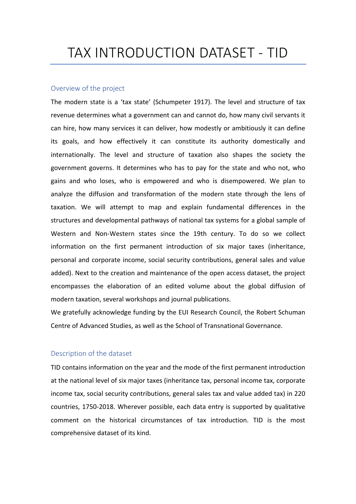# TAX INTRODUCTION DATASET - TID

#### Overview of the project

The modern state is a 'tax state' (Schumpeter 1917). The level and structure of tax revenue determines what a government can and cannot do, how many civil servants it can hire, how many services it can deliver, how modestly or ambitiously it can define its goals, and how effectively it can constitute its authority domestically and internationally. The level and structure of taxation also shapes the society the government governs. It determines who has to pay for the state and who not, who gains and who loses, who is empowered and who is disempowered. We plan to analyze the diffusion and transformation of the modern state through the lens of taxation. We will attempt to map and explain fundamental differences in the structures and developmental pathways of national tax systems for a global sample of Western and Non-Western states since the 19th century. To do so we collect information on the first permanent introduction of six major taxes (inheritance, personal and corporate income, social security contributions, general sales and value added). Next to the creation and maintenance of the open access dataset, the project encompasses the elaboration of an edited volume about the global diffusion of modern taxation, several workshops and journal publications.

We gratefully acknowledge funding by the EUI Research Council, the Robert Schuman Centre of Advanced Studies, as well as the School of Transnational Governance.

## Description of the dataset

TID contains information on the year and the mode of the first permanent introduction at the national level of six major taxes (inheritance tax, personal income tax, corporate income tax, social security contributions, general sales tax and value added tax) in 220 countries, 1750-2018. Wherever possible, each data entry is supported by qualitative comment on the historical circumstances of tax introduction. TID is the most comprehensive dataset of its kind.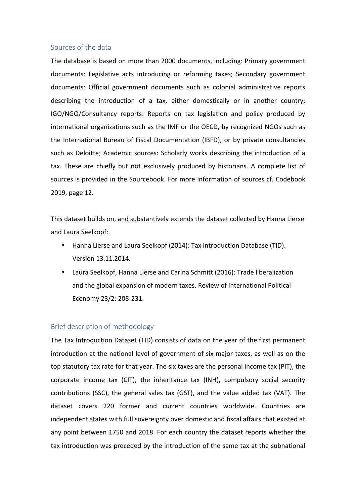#### Sources of the data

The database is based on more than 2000 documents, including: Primary government documents: Legislative acts introducing or reforming taxes; Secondary government documents: Official government documents such as colonial administrative reports describing the introduction of a tax, either domestically or in another country; IGO/NGO/Consultancy reports: Reports on tax legislation and policy produced by international organizations such as the IMF or the OECD, by recognized NGOs such as the International Bureau of Fiscal Documentation (IBFD), or by private consultancies such as Deloitte; Academic sources: Scholarly works describing the introduction of a tax. These are chiefly but not exclusively produced by historians. A complete list of sources is provided in the Sourcebook. For more information of sources cf. Codebook 2019, page 12.

This dataset builds on, and substantively extends the dataset collected by Hanna Lierse and Laura Seelkopf:

- Hanna Lierse and Laura Seelkopf (2014): Tax Introduction Database (TID). Version 13.11.2014.
- Laura Seelkopf, Hanna Lierse and Carina Schmitt (2016): Trade liberalization and the global expansion of modern taxes. Review of International Political Economy 23/2: 208-231.

## Brief description of methodology

The Tax Introduction Dataset (TID) consists of data on the year of the first permanent introduction at the national level of government of six major taxes, as well as on the top statutory tax rate for that year. The six taxes are the personal income tax (PIT), the corporate income tax (CIT), the inheritance tax (INH), compulsory social security contributions (SSC), the general sales tax (GST), and the value added tax (VAT). The dataset covers 220 former and current countries worldwide. Countries are independent states with full sovereignty over domestic and fiscal affairs that existed at any point between 1750 and 2018. For each country the dataset reports whether the tax introduction was preceded by the introduction of the same tax at the subnational